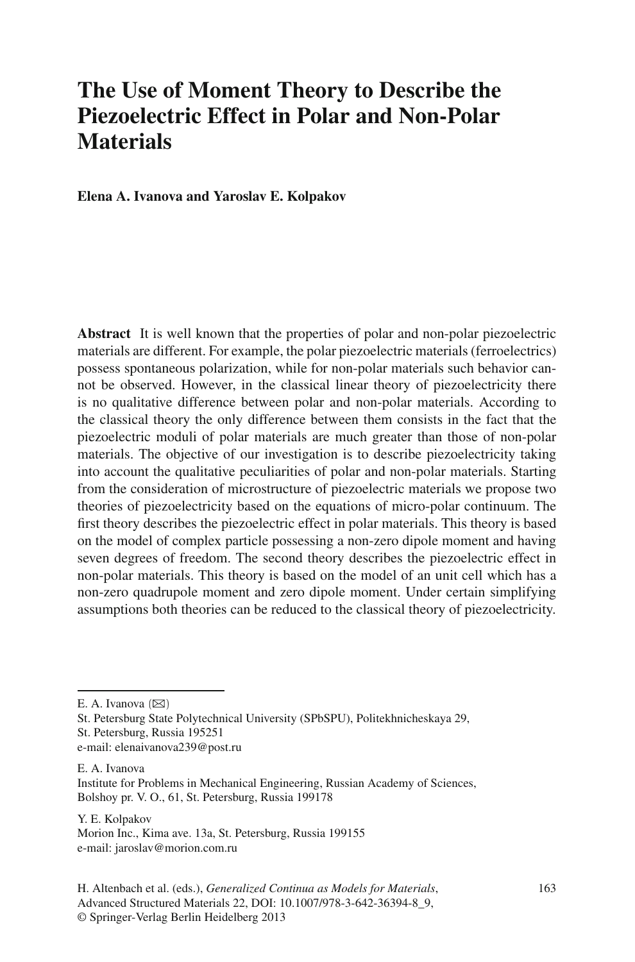# **The Use of Moment Theory to Describe the Piezoelectric Effect in Polar and Non-Polar Materials**

**Elena A. Ivanova and Yaroslav E. Kolpakov**

**Abstract** It is well known that the properties of polar and non-polar piezoelectric materials are different. For example, the polar piezoelectric materials (ferroelectrics) possess spontaneous polarization, while for non-polar materials such behavior cannot be observed. However, in the classical linear theory of piezoelectricity there is no qualitative difference between polar and non-polar materials. According to the classical theory the only difference between them consists in the fact that the piezoelectric moduli of polar materials are much greater than those of non-polar materials. The objective of our investigation is to describe piezoelectricity taking into account the qualitative peculiarities of polar and non-polar materials. Starting from the consideration of microstructure of piezoelectric materials we propose two theories of piezoelectricity based on the equations of micro-polar continuum. The first theory describes the piezoelectric effect in polar materials. This theory is based on the model of complex particle possessing a non-zero dipole moment and having seven degrees of freedom. The second theory describes the piezoelectric effect in non-polar materials. This theory is based on the model of an unit cell which has a non-zero quadrupole moment and zero dipole moment. Under certain simplifying assumptions both theories can be reduced to the classical theory of piezoelectricity.

E. A. Ivanova

St. Petersburg State Polytechnical University (SPbSPU), Politekhnicheskaya 29,

St. Petersburg, Russia 195251

e-mail: elenaivanova239@post.ru

Institute for Problems in Mechanical Engineering, Russian Academy of Sciences, Bolshoy pr. V. O., 61, St. Petersburg, Russia 199178

Y. E. Kolpakov Morion Inc., Kima ave. 13a, St. Petersburg, Russia 199155 e-mail: jaroslav@morion.com.ru

E. A. Ivanova  $(\boxtimes)$ 

H. Altenbach et al. (eds.), *Generalized Continua as Models for Materials*, 163 Advanced Structured Materials 22, DOI: 10.1007/978-3-642-36394-8\_9, © Springer-Verlag Berlin Heidelberg 2013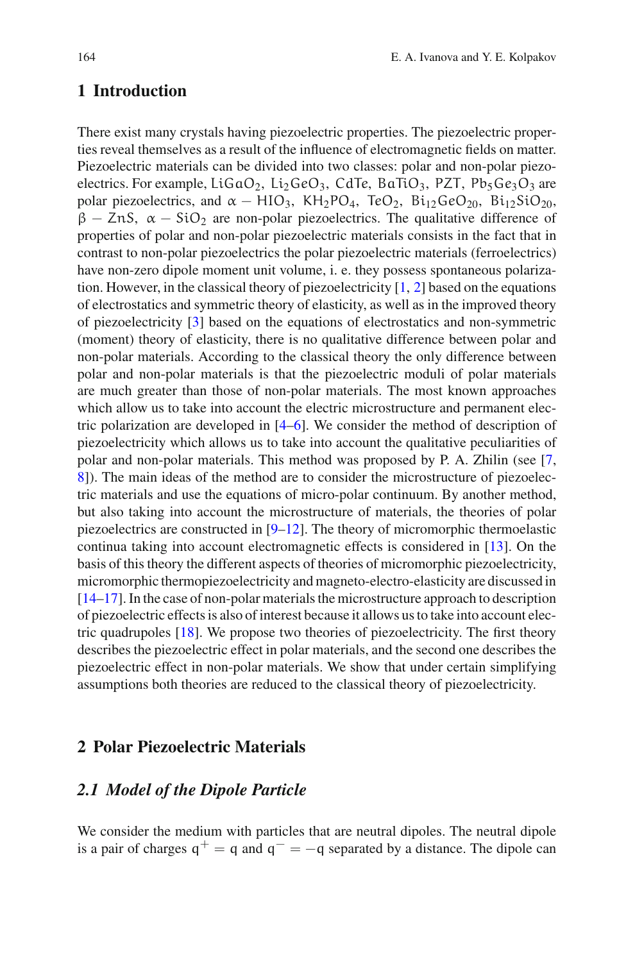#### **1 Introduction**

There exist many crystals having piezoelectric properties. The piezoelectric properties reveal themselves as a result of the influence of electromagnetic fields on matter. Piezoelectric materials can be divided into two classes: polar and non-polar piezoelectrics. For example, LiGaO<sub>2</sub>, Li<sub>2</sub>GeO<sub>3</sub>, CdTe, BaTiO<sub>3</sub>, PZT, Pb<sub>5</sub>Ge<sub>3</sub>O<sub>3</sub> are polar piezoelectrics, and  $\alpha$  – HIO<sub>3</sub>, KH<sub>2</sub>PO<sub>4</sub>, TeO<sub>2</sub>, Bi<sub>12</sub>GeO<sub>20</sub>, Bi<sub>12</sub>SiO<sub>20</sub>,  $\beta$  – ZnS,  $\alpha$  – SiO<sub>2</sub> are non-polar piezoelectrics. The qualitative difference of properties of polar and non-polar piezoelectric materials consists in the fact that in contrast to non-polar piezoelectrics the polar piezoelectric materials (ferroelectrics) have non-zero dipole moment unit volume, i. e. they possess spontaneous polarization. However, in the classical theory of piezoelectricity  $[1, 2]$  $[1, 2]$  $[1, 2]$  based on the equations of electrostatics and symmetric theory of elasticity, as well as in the improved theory of piezoelectricity [\[3](#page-14-2)] based on the equations of electrostatics and non-symmetric (moment) theory of elasticity, there is no qualitative difference between polar and non-polar materials. According to the classical theory the only difference between polar and non-polar materials is that the piezoelectric moduli of polar materials are much greater than those of non-polar materials. The most known approaches which allow us to take into account the electric microstructure and permanent electric polarization are developed in [\[4](#page-14-3)[–6](#page-15-0)]. We consider the method of description of piezoelectricity which allows us to take into account the qualitative peculiarities of polar and non-polar materials. This method was proposed by P. A. Zhilin (see [\[7,](#page-15-1) [8\]](#page-15-2)). The main ideas of the method are to consider the microstructure of piezoelectric materials and use the equations of micro-polar continuum. By another method, but also taking into account the microstructure of materials, the theories of polar piezoelectrics are constructed in [\[9](#page-15-3)[–12](#page-15-4)]. The theory of micromorphic thermoelastic continua taking into account electromagnetic effects is considered in [\[13\]](#page-15-5). On the basis of this theory the different aspects of theories of micromorphic piezoelectricity, micromorphic thermopiezoelectricity and magneto-electro-elasticity are discussed in [\[14](#page-15-6)[–17\]](#page-15-7). In the case of non-polar materials the microstructure approach to description of piezoelectric effects is also of interest because it allows us to take into account electric quadrupoles [\[18\]](#page-15-8). We propose two theories of piezoelectricity. The first theory describes the piezoelectric effect in polar materials, and the second one describes the piezoelectric effect in non-polar materials. We show that under certain simplifying assumptions both theories are reduced to the classical theory of piezoelectricity.

#### **2 Polar Piezoelectric Materials**

#### *2.1 Model of the Dipole Particle*

We consider the medium with particles that are neutral dipoles. The neutral dipole is a pair of charges  $q^+ = q$  and  $q^- = -q$  separated by a distance. The dipole can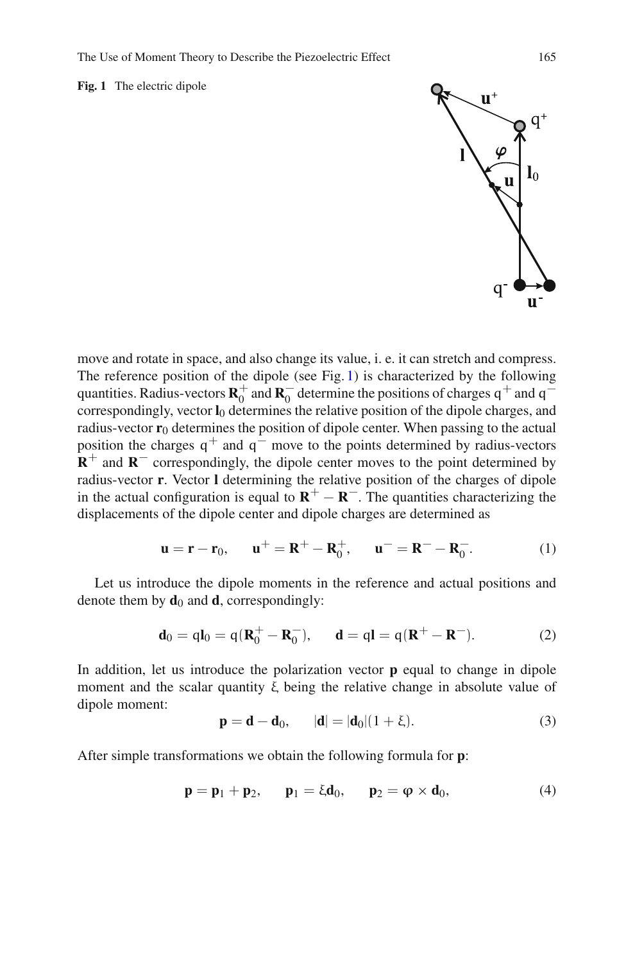#### <span id="page-2-0"></span>**Fig. 1** The electric dipole



move and rotate in space, and also change its value, i. e. it can stretch and compress. The reference position of the dipole (see Fig. [1\)](#page-2-0) is characterized by the following quantities. Radius-vectors  $\mathbf{R}_0^+$  and  $\mathbf{R}_0^-$  determine the positions of charges  $q^+$  and  $q^$ correspondingly, vector  $I_0$  determines the relative position of the dipole charges, and radius-vector  $\mathbf{r}_0$  determines the position of dipole center. When passing to the actual position the charges  $q^+$  and  $q^-$  move to the points determined by radius-vectors **R**<sup>+</sup> and **R**<sup>−</sup> correspondingly, the dipole center moves to the point determined by radius-vector **r**. Vector **l** determining the relative position of the charges of dipole in the actual configuration is equal to  $\mathbf{R}^+ - \mathbf{R}^-$ . The quantities characterizing the displacements of the dipole center and dipole charges are determined as

$$
\mathbf{u} = \mathbf{r} - \mathbf{r}_0, \qquad \mathbf{u}^+ = \mathbf{R}^+ - \mathbf{R}_0^+, \qquad \mathbf{u}^- = \mathbf{R}^- - \mathbf{R}_0^-.
$$
 (1)

Let us introduce the dipole moments in the reference and actual positions and denote them by  $\mathbf{d}_0$  and  $\mathbf{d}$ , correspondingly:

$$
\mathbf{d}_0 = \mathbf{q}\mathbf{l}_0 = \mathbf{q}(\mathbf{R}_0^+ - \mathbf{R}_0^-), \quad \mathbf{d} = \mathbf{q}\mathbf{l} = \mathbf{q}(\mathbf{R}^+ - \mathbf{R}^-).
$$
 (2)

In addition, let us introduce the polarization vector **p** equal to change in dipole moment and the scalar quantity  $\xi$  being the relative change in absolute value of dipole moment:

$$
\mathbf{p} = \mathbf{d} - \mathbf{d}_0, \qquad |\mathbf{d}| = |\mathbf{d}_0| (1 + \xi). \tag{3}
$$

<span id="page-2-1"></span>After simple transformations we obtain the following formula for **p**:

$$
\mathbf{p} = \mathbf{p}_1 + \mathbf{p}_2, \qquad \mathbf{p}_1 = \xi \mathbf{d}_0, \qquad \mathbf{p}_2 = \boldsymbol{\phi} \times \mathbf{d}_0,\tag{4}
$$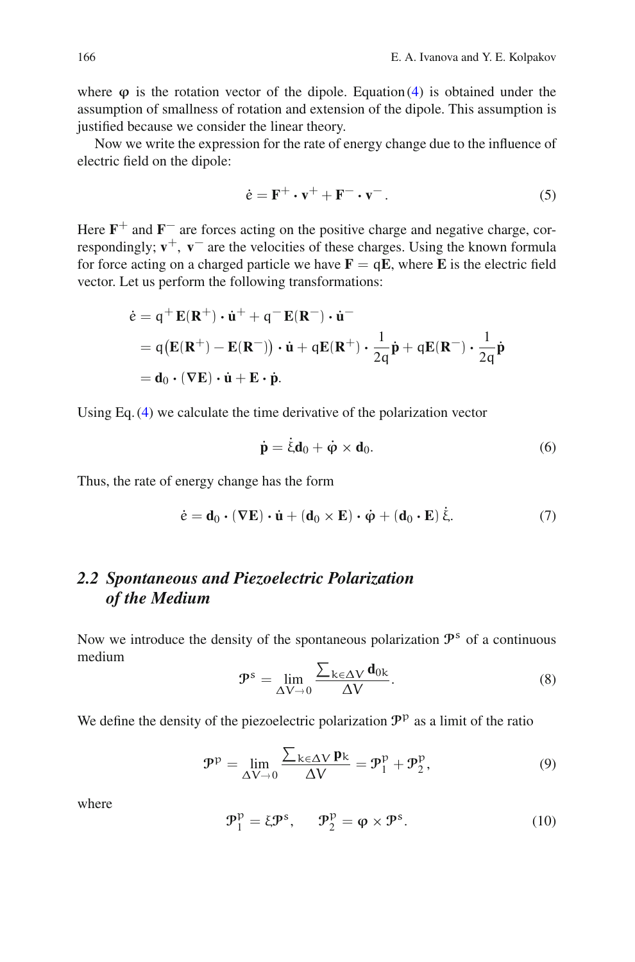where  $\varphi$  is the rotation vector of the dipole. Equation [\(4\)](#page-2-1) is obtained under the assumption of smallness of rotation and extension of the dipole. This assumption is justified because we consider the linear theory.

Now we write the expression for the rate of energy change due to the influence of electric field on the dipole:

$$
\dot{\mathbf{e}} = \mathbf{F}^+ \cdot \mathbf{v}^+ + \mathbf{F}^- \cdot \mathbf{v}^-.
$$
 (5)

Here **F**<sup>+</sup> and **F**<sup>−</sup> are forces acting on the positive charge and negative charge, correspondingly; **v**+, **v**<sup>−</sup> are the velocities of these charges. Using the known formula for force acting on a charged particle we have  $\mathbf{F} = q\mathbf{E}$ , where  $\mathbf{E}$  is the electric field vector. Let us perform the following transformations:

$$
\dot{\mathbf{e}} = \mathbf{q}^+ \mathbf{E}(\mathbf{R}^+) \cdot \dot{\mathbf{u}}^+ + \mathbf{q}^- \mathbf{E}(\mathbf{R}^-) \cdot \dot{\mathbf{u}}^-
$$
  
=  $\mathbf{q}(\mathbf{E}(\mathbf{R}^+) - \mathbf{E}(\mathbf{R}^-)) \cdot \dot{\mathbf{u}} + \mathbf{q} \mathbf{E}(\mathbf{R}^+) \cdot \frac{1}{2\mathbf{q}} \dot{\mathbf{p}} + \mathbf{q} \mathbf{E}(\mathbf{R}^-) \cdot \frac{1}{2\mathbf{q}} \dot{\mathbf{p}}$   
=  $\mathbf{d}_0 \cdot (\nabla \mathbf{E}) \cdot \dot{\mathbf{u}} + \mathbf{E} \cdot \dot{\mathbf{p}}$ .

Using Eq. [\(4\)](#page-2-1) we calculate the time derivative of the polarization vector

$$
\dot{\mathbf{p}} = \dot{\xi}\mathbf{d}_0 + \dot{\boldsymbol{\varphi}} \times \mathbf{d}_0. \tag{6}
$$

<span id="page-3-2"></span>Thus, the rate of energy change has the form

$$
\dot{\mathbf{e}} = \mathbf{d}_0 \cdot (\nabla \mathbf{E}) \cdot \dot{\mathbf{u}} + (\mathbf{d}_0 \times \mathbf{E}) \cdot \dot{\boldsymbol{\varphi}} + (\mathbf{d}_0 \cdot \mathbf{E}) \dot{\boldsymbol{\xi}}.
$$
 (7)

## *2.2 Spontaneous and Piezoelectric Polarization of the Medium*

Now we introduce the density of the spontaneous polarization  $\mathcal{P}^s$  of a continuous medium

$$
\mathcal{P}^{s} = \lim_{\Delta V \to 0} \frac{\sum_{k \in \Delta V} \mathbf{d}_{0k}}{\Delta V}.
$$
 (8)

<span id="page-3-0"></span>We define the density of the piezoelectric polarization  $\mathcal{P}^p$  as a limit of the ratio

$$
\mathcal{P}^{\mathcal{P}} = \lim_{\Delta V \to 0} \frac{\sum_{k \in \Delta V} \mathbf{p}_k}{\Delta V} = \mathcal{P}_1^{\mathcal{P}} + \mathcal{P}_2^{\mathcal{P}},\tag{9}
$$

<span id="page-3-1"></span>where

$$
\mathcal{P}_1^{\mathcal{P}} = \xi \mathcal{P}^{\mathcal{S}}, \qquad \mathcal{P}_2^{\mathcal{P}} = \varphi \times \mathcal{P}^{\mathcal{S}}.
$$
 (10)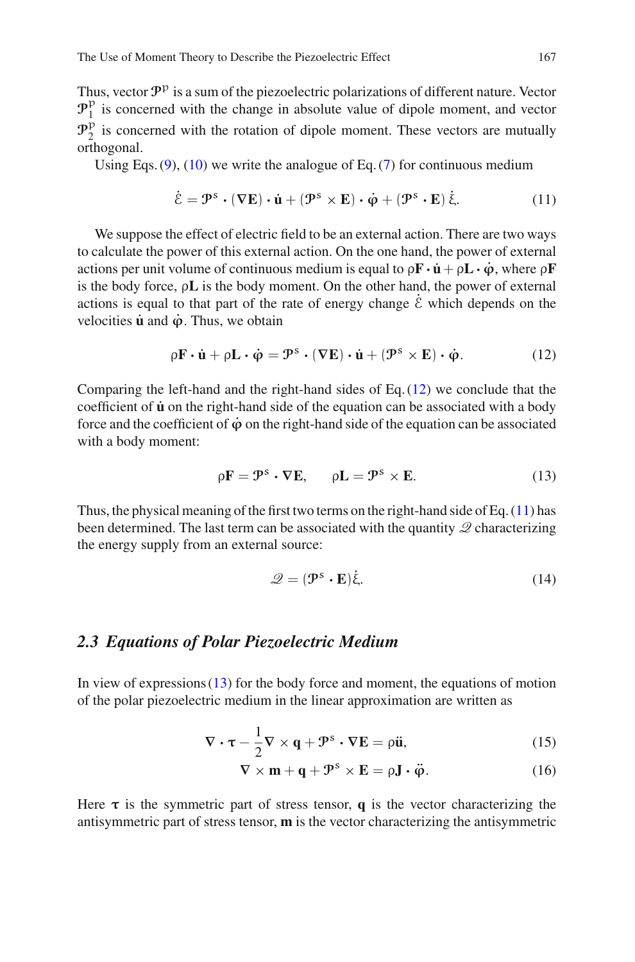Thus, vector  $\mathcal{P}^{\mathcal{P}}$  is a sum of the piezoelectric polarizations of different nature. Vector  $\mathcal{P}_1^{\mathcal{P}}$  is concerned with the change in absolute value of dipole moment, and vector  $\mathcal{P}_2^{\mathcal{P}}$  is concerned with the rotation of dipole moment. These vectors are mutually orthogonal.

<span id="page-4-1"></span>Using Eqs.  $(9)$ ,  $(10)$  we write the analogue of Eq.  $(7)$  for continuous medium

$$
\dot{\mathcal{E}} = \mathcal{P}^s \cdot (\nabla \mathbf{E}) \cdot \dot{\mathbf{u}} + (\mathcal{P}^s \times \mathbf{E}) \cdot \dot{\boldsymbol{\varphi}} + (\mathcal{P}^s \cdot \mathbf{E}) \dot{\boldsymbol{\xi}}.
$$
 (11)

We suppose the effect of electric field to be an external action. There are two ways to calculate the power of this external action. On the one hand, the power of external actions per unit volume of continuous medium is equal to  $\rho \mathbf{F} \cdot \dot{\mathbf{u}} + \rho \mathbf{L} \cdot \dot{\phi}$ , where  $\rho \mathbf{F}$ is the body force, ρ**L** is the body moment. On the other hand, the power of external actions is equal to that part of the rate of energy change  $\hat{\mathcal{E}}$  which depends on the velocities  $\dot{u}$  and  $\dot{\varphi}$ . Thus, we obtain

$$
\rho \mathbf{F} \cdot \dot{\mathbf{u}} + \rho \mathbf{L} \cdot \dot{\phi} = \mathcal{P}^s \cdot (\nabla \mathbf{E}) \cdot \dot{\mathbf{u}} + (\mathcal{P}^s \times \mathbf{E}) \cdot \dot{\phi}.
$$
 (12)

<span id="page-4-0"></span>Comparing the left-hand and the right-hand sides of Eq. [\(12\)](#page-4-0) we conclude that the coefficient of **u** on the right-hand side of the equation can be associated with a body force and the coefficient of  $\dot{\phi}$  on the right-hand side of the equation can be associated with a body moment:

<span id="page-4-3"></span>
$$
\rho \mathbf{F} = \mathcal{P}^s \cdot \nabla \mathbf{E}, \qquad \rho \mathbf{L} = \mathcal{P}^s \times \mathbf{E}.
$$
 (13)

<span id="page-4-2"></span>Thus, the physical meaning of the first two terms on the right-hand side of Eq. [\(11\)](#page-4-1) has been determined. The last term can be associated with the quantity *Q* characterizing the energy supply from an external source:

$$
\mathcal{Q} = (\mathcal{P}^s \cdot \mathbf{E})\dot{\xi}.
$$
 (14)

#### *2.3 Equations of Polar Piezoelectric Medium*

In view of expressions [\(13\)](#page-4-2) for the body force and moment, the equations of motion of the polar piezoelectric medium in the linear approximation are written as

$$
\nabla \cdot \boldsymbol{\tau} - \frac{1}{2} \nabla \times \mathbf{q} + \mathcal{P}^s \cdot \nabla \mathbf{E} = \rho \ddot{\mathbf{u}},
$$
 (15)

<span id="page-4-5"></span><span id="page-4-4"></span>
$$
\nabla \times \mathbf{m} + \mathbf{q} + \mathcal{P}^s \times \mathbf{E} = \rho \mathbf{J} \cdot \ddot{\boldsymbol{\varphi}}.
$$
 (16)

Here  $\tau$  is the symmetric part of stress tensor, **q** is the vector characterizing the antisymmetric part of stress tensor, **m** is the vector characterizing the antisymmetric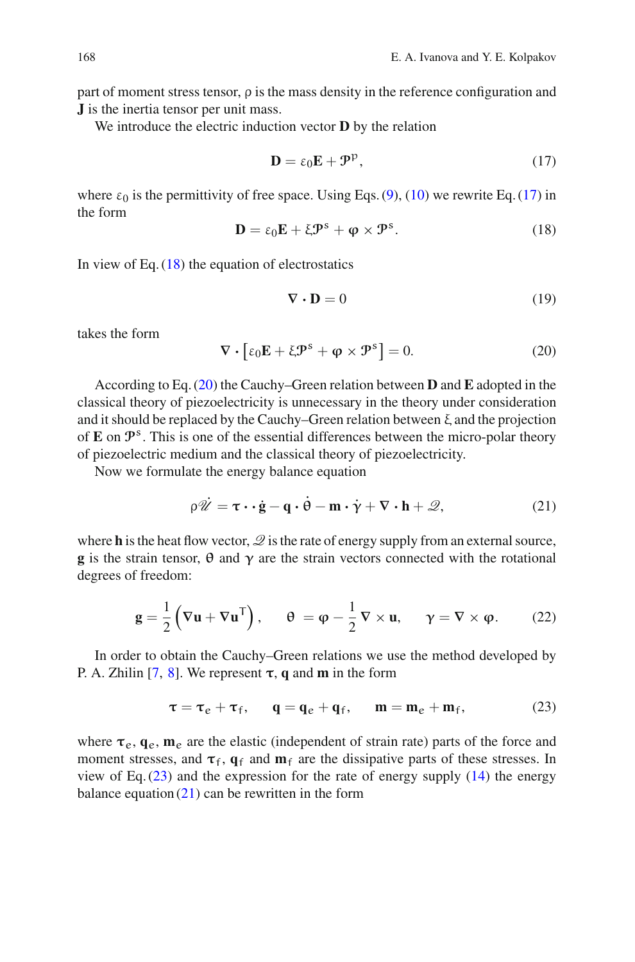part of moment stress tensor,  $\rho$  is the mass density in the reference configuration and **J** is the inertia tensor per unit mass.

<span id="page-5-0"></span>We introduce the electric induction vector **D** by the relation

$$
\mathbf{D} = \varepsilon_0 \mathbf{E} + \mathbf{\mathcal{P}}^{\mathbf{p}},\tag{17}
$$

<span id="page-5-1"></span>where  $\varepsilon_0$  is the permittivity of free space. Using Eqs. [\(9\)](#page-3-0), [\(10\)](#page-3-1) we rewrite Eq. [\(17\)](#page-5-0) in the form

<span id="page-5-6"></span>
$$
\mathbf{D} = \varepsilon_0 \mathbf{E} + \xi \mathbf{P}^{\rm s} + \boldsymbol{\varphi} \times \mathbf{P}^{\rm s}.
$$
 (18)

In view of Eq.  $(18)$  the equation of electrostatics

$$
\nabla \cdot \mathbf{D} = 0 \tag{19}
$$

<span id="page-5-2"></span>takes the form

$$
\nabla \cdot \left[ \varepsilon_0 \mathbf{E} + \xi \mathbf{P}^{\rm s} + \boldsymbol{\varphi} \times \mathbf{P}^{\rm s} \right] = 0. \tag{20}
$$

According to Eq. [\(20\)](#page-5-2) the Cauchy–Green relation between **D** and **E** adopted in the classical theory of piezoelectricity is unnecessary in the theory under consideration and it should be replaced by the Cauchy–Green relation between ξ and the projection of **E** on **P**s. This is one of the essential differences between the micro-polar theory of piezoelectric medium and the classical theory of piezoelectricity.

<span id="page-5-4"></span>Now we formulate the energy balance equation

$$
\rho \dot{\mathcal{U}} = \tau \cdot \dot{\mathbf{g}} - \mathbf{q} \cdot \dot{\mathbf{\theta}} - \mathbf{m} \cdot \dot{\gamma} + \nabla \cdot \mathbf{h} + \mathcal{Q},\tag{21}
$$

where **h** is the heat flow vector,  $\mathcal{Q}$  is the rate of energy supply from an external source, **g** is the strain tensor,  $\theta$  and  $\gamma$  are the strain vectors connected with the rotational degrees of freedom:

$$
\mathbf{g} = \frac{1}{2} \left( \nabla \mathbf{u} + \nabla \mathbf{u}^{\mathsf{T}} \right), \quad \mathbf{\theta} = \boldsymbol{\phi} - \frac{1}{2} \, \nabla \times \mathbf{u}, \quad \boldsymbol{\gamma} = \nabla \times \boldsymbol{\phi}. \tag{22}
$$

<span id="page-5-5"></span><span id="page-5-3"></span>In order to obtain the Cauchy–Green relations we use the method developed by P. A. Zhilin [\[7](#page-15-1), [8](#page-15-2)]. We represent **τ**, **q** and **m** in the form

$$
\tau = \tau_e + \tau_f, \qquad q = q_e + q_f, \qquad m = m_e + m_f,\tag{23}
$$

where  $\tau_e$ ,  $\mathbf{q}_e$ ,  $\mathbf{m}_e$  are the elastic (independent of strain rate) parts of the force and moment stresses, and  $\tau_f$ ,  $\mathbf{q}_f$  and  $\mathbf{m}_f$  are the dissipative parts of these stresses. In view of Eq.  $(23)$  and the expression for the rate of energy supply  $(14)$  the energy balance equation  $(21)$  can be rewritten in the form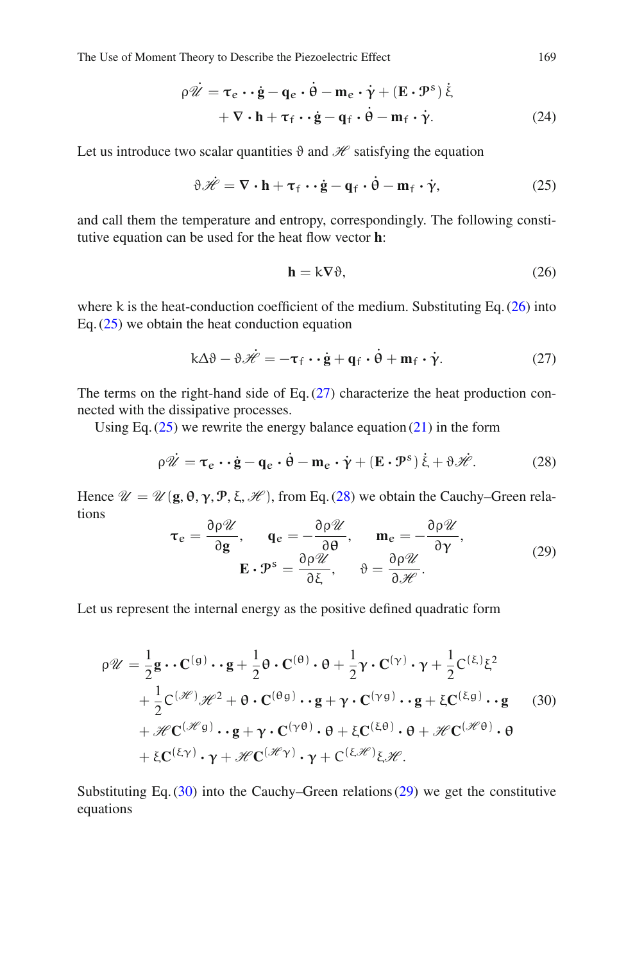The Use of Moment Theory to Describe the Piezoelectric Effect 169

$$
\rho \hat{\mathcal{U}} = \tau_e \cdot \dot{\mathbf{g}} - \mathbf{q}_e \cdot \dot{\theta} - \mathbf{m}_e \cdot \dot{\gamma} + (\mathbf{E} \cdot \mathcal{P}^s) \dot{\xi} + \nabla \cdot \mathbf{h} + \tau_f \cdot \dot{\mathbf{g}} - \mathbf{q}_f \cdot \dot{\theta} - \mathbf{m}_f \cdot \dot{\gamma}.
$$
 (24)

<span id="page-6-1"></span>Let us introduce two scalar quantities  $\vartheta$  and  $\mathscr H$  satisfying the equation

<span id="page-6-0"></span>
$$
\vartheta \mathscr{H} = \nabla \cdot \mathbf{h} + \boldsymbol{\tau}_f \cdot \boldsymbol{\cdot} \dot{\mathbf{g}} - \mathbf{q}_f \cdot \boldsymbol{\theta} - \mathbf{m}_f \cdot \dot{\boldsymbol{\gamma}},
$$
(25)

and call them the temperature and entropy, correspondingly. The following constitutive equation can be used for the heat flow vector **h**:

$$
\mathbf{h} = k \nabla \vartheta, \tag{26}
$$

<span id="page-6-2"></span>where k is the heat-conduction coefficient of the medium. Substituting Eq.  $(26)$  into Eq.  $(25)$  we obtain the heat conduction equation

$$
k\Delta\vartheta - \vartheta \dot{\mathscr{H}} = -\tau_f \cdot \dot{g} + q_f \cdot \dot{\theta} + m_f \cdot \dot{\gamma}.
$$
 (27)

The terms on the right-hand side of Eq.  $(27)$  characterize the heat production connected with the dissipative processes.

<span id="page-6-3"></span>Using Eq.  $(25)$  we rewrite the energy balance equation  $(21)$  in the form

$$
\rho \dot{\mathscr{U}} = \boldsymbol{\tau}_e \cdot \boldsymbol{\cdot} \dot{\mathbf{g}} - \mathbf{q}_e \cdot \dot{\boldsymbol{\theta}} - \mathbf{m}_e \cdot \dot{\boldsymbol{\gamma}} + (\mathbf{E} \cdot \mathcal{P}^s) \dot{\boldsymbol{\xi}} + \vartheta \dot{\mathscr{H}}.
$$
 (28)

<span id="page-6-5"></span>Hence  $\mathcal{U} = \mathcal{U}(\mathbf{g}, \theta, \gamma, \mathcal{P}, \xi, \mathcal{H})$ , from Eq. [\(28\)](#page-6-3) we obtain the Cauchy–Green relations

<span id="page-6-4"></span>
$$
\tau_e = \frac{\partial \rho \mathcal{U}}{\partial g}, \qquad \mathbf{q}_e = -\frac{\partial \rho \mathcal{U}}{\partial \theta}, \qquad \mathbf{m}_e = -\frac{\partial \rho \mathcal{U}}{\partial \gamma},
$$
  

$$
\mathbf{E} \cdot \mathcal{P}^s = \frac{\partial \rho \mathcal{U}}{\partial \xi}, \qquad \vartheta = \frac{\partial \rho \mathcal{U}}{\partial \mathcal{H}}.
$$
 (29)

Let us represent the internal energy as the positive defined quadratic form

$$
\rho \mathscr{U} = \frac{1}{2} \mathbf{g} \cdot \mathbf{C}^{(g)} \cdot \mathbf{g} + \frac{1}{2} \theta \cdot \mathbf{C}^{(\theta)} \cdot \theta + \frac{1}{2} \gamma \cdot \mathbf{C}^{(\gamma)} \cdot \gamma + \frac{1}{2} \mathbf{C}^{(\xi)} \xi^2 + \frac{1}{2} \mathbf{C}^{(\mathscr{H})} \mathscr{H}^2 + \theta \cdot \mathbf{C}^{(\theta g)} \cdot \mathbf{g} + \gamma \cdot \mathbf{C}^{(\gamma g)} \cdot \mathbf{g} + \xi \mathbf{C}^{(\xi g)} \cdot \mathbf{g} \qquad (30) + \mathscr{H} \mathbf{C}^{(\mathscr{H} g)} \cdot \mathbf{g} + \gamma \cdot \mathbf{C}^{(\gamma \theta)} \cdot \theta + \xi \mathbf{C}^{(\xi \theta)} \cdot \theta + \mathscr{H} \mathbf{C}^{(\mathscr{H} \theta)} \cdot \theta + \xi \mathbf{C}^{(\xi \gamma)} \cdot \gamma + \mathscr{H} \mathbf{C}^{(\mathscr{H} \gamma)} \cdot \gamma + \mathbf{C}^{(\xi \mathscr{H})} \xi \mathscr{H}.
$$

Substituting Eq.  $(30)$  into the Cauchy–Green relations  $(29)$  we get the constitutive equations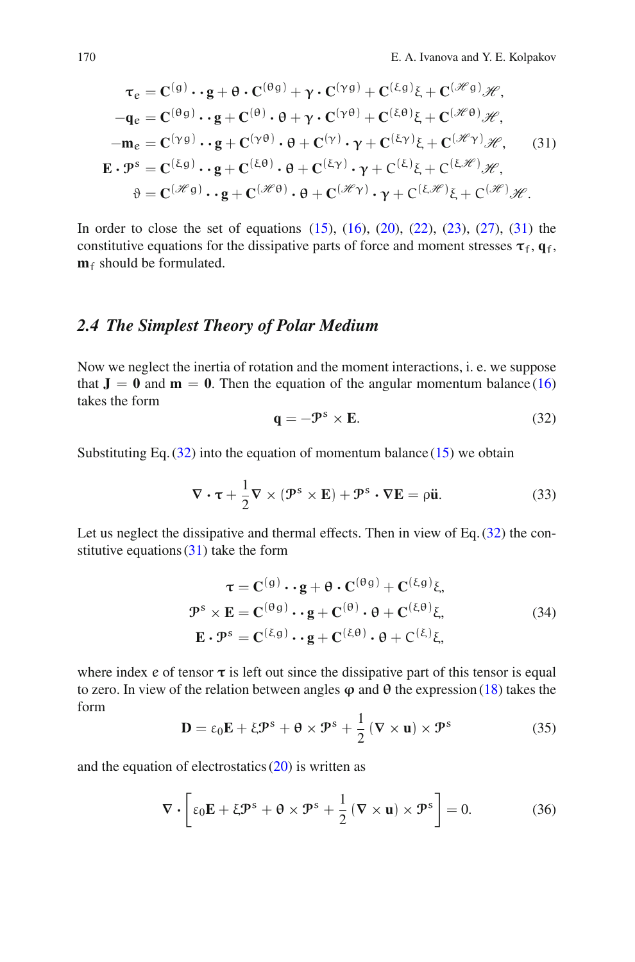<span id="page-7-0"></span>
$$
\tau_e = C^{(g)} \cdot g + \theta \cdot C^{(\theta g)} + \gamma \cdot C^{(\gamma g)} + C^{(\xi g)} \xi + C^{(\mathcal{H}g)} \mathcal{H},
$$
  
\n
$$
-q_e = C^{(\theta g)} \cdot g + C^{(\theta)} \cdot \theta + \gamma \cdot C^{(\gamma \theta)} + C^{(\xi \theta)} \xi + C^{(\mathcal{H} \theta)} \mathcal{H},
$$
  
\n
$$
-m_e = C^{(\gamma g)} \cdot g + C^{(\gamma \theta)} \cdot \theta + C^{(\gamma)} \cdot \gamma + C^{(\xi \gamma)} \xi + C^{(\mathcal{H} \gamma)} \mathcal{H},
$$
  
\n
$$
E \cdot \mathcal{P}^s = C^{(\xi g)} \cdot g + C^{(\xi \theta)} \cdot \theta + C^{(\xi \gamma)} \cdot \gamma + C^{(\xi) \xi} + C^{(\mathcal{L} \mathcal{H})} \mathcal{H},
$$
  
\n
$$
\vartheta = C^{(\mathcal{H} g)} \cdot g + C^{(\mathcal{H} \theta)} \cdot \theta + C^{(\mathcal{H} \gamma)} \cdot \gamma + C^{(\xi \mathcal{H})} \xi + C^{(\mathcal{H})} \mathcal{H}.
$$

In order to close the set of equations  $(15)$ ,  $(16)$ ,  $(20)$ ,  $(22)$ ,  $(23)$ ,  $(27)$ ,  $(31)$  the constitutive equations for the dissipative parts of force and moment stresses  $\tau_f$ ,  $\mathbf{q}_f$ , **m**<sub>f</sub> should be formulated.

### *2.4 The Simplest Theory of Polar Medium*

Now we neglect the inertia of rotation and the moment interactions, i. e. we suppose that  $J = 0$  and  $m = 0$ . Then the equation of the angular momentum balance [\(16\)](#page-4-5) takes the form

<span id="page-7-4"></span>
$$
\mathbf{q} = -\mathbf{\mathcal{P}}^{\mathbf{s}} \times \mathbf{E}.\tag{32}
$$

<span id="page-7-2"></span>Substituting Eq.  $(32)$  into the equation of momentum balance  $(15)$  we obtain

<span id="page-7-1"></span>
$$
\nabla \cdot \boldsymbol{\tau} + \frac{1}{2} \nabla \times (\boldsymbol{\mathcal{P}}^s \times \mathbf{E}) + \boldsymbol{\mathcal{P}}^s \cdot \nabla \mathbf{E} = \rho \ddot{\mathbf{u}}.
$$
 (33)

Let us neglect the dissipative and thermal effects. Then in view of Eq. [\(32\)](#page-7-1) the constitutive equations  $(31)$  take the form

$$
\boldsymbol{\tau} = \mathbf{C}^{(g)} \cdot \mathbf{g} + \boldsymbol{\theta} \cdot \mathbf{C}^{(\theta g)} + \mathbf{C}^{(\xi g)} \boldsymbol{\xi},
$$
  
\n
$$
\mathbf{\mathcal{P}}^{s} \times \mathbf{E} = \mathbf{C}^{(\theta g)} \cdot \mathbf{g} + \mathbf{C}^{(\theta)} \cdot \boldsymbol{\theta} + \mathbf{C}^{(\xi \theta)} \boldsymbol{\xi},
$$
  
\n
$$
\mathbf{E} \cdot \mathbf{\mathcal{P}}^{s} = \mathbf{C}^{(\xi g)} \cdot \mathbf{g} + \mathbf{C}^{(\xi \theta)} \cdot \boldsymbol{\theta} + \mathbf{C}^{(\xi)} \boldsymbol{\xi},
$$
\n(34)

<span id="page-7-5"></span>where index e of tensor  $\tau$  is left out since the dissipative part of this tensor is equal to zero. In view of the relation between angles  $\phi$  and  $\theta$  the expression [\(18\)](#page-5-1) takes the form

$$
\mathbf{D} = \varepsilon_0 \mathbf{E} + \xi \mathbf{P}^s + \mathbf{\theta} \times \mathbf{P}^s + \frac{1}{2} (\nabla \times \mathbf{u}) \times \mathbf{P}^s
$$
 (35)

<span id="page-7-3"></span>and the equation of electrostatics  $(20)$  is written as

$$
\nabla \cdot \left[ \varepsilon_0 \mathbf{E} + \xi \mathbf{P}^s + \mathbf{\Theta} \times \mathbf{P}^s + \frac{1}{2} \left( \nabla \times \mathbf{u} \right) \times \mathbf{P}^s \right] = 0. \tag{36}
$$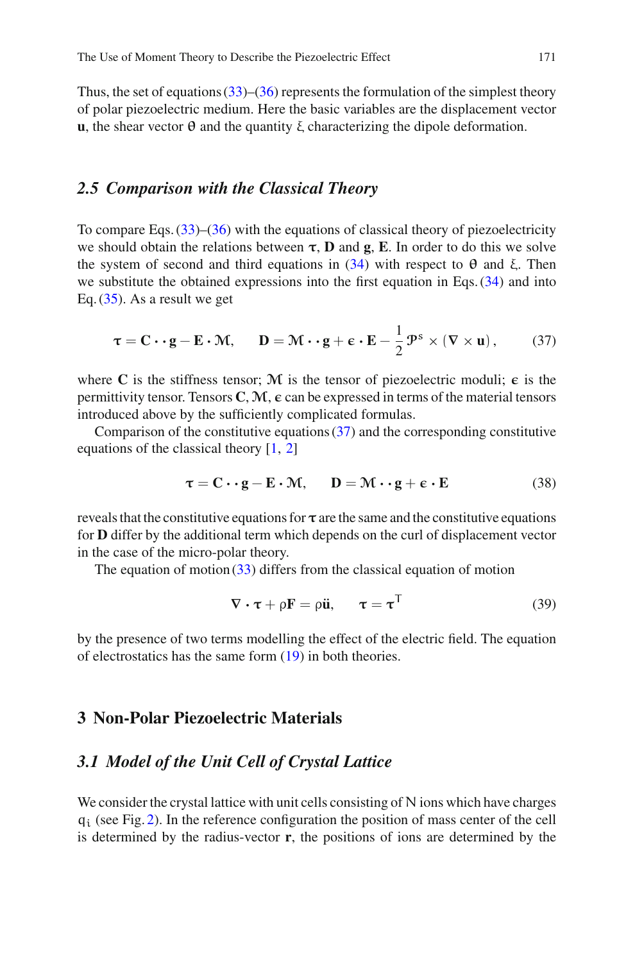Thus, the set of equations  $(33)$ – $(36)$  represents the formulation of the simplest theory of polar piezoelectric medium. Here the basic variables are the displacement vector **u**, the shear vector **θ** and the quantity ξ characterizing the dipole deformation.

#### *2.5 Comparison with the Classical Theory*

To compare Eqs. [\(33\)](#page-7-2)–[\(36\)](#page-7-3) with the equations of classical theory of piezoelectricity we should obtain the relations between **τ**, **D** and **g**, **E**. In order to do this we solve the system of second and third equations in [\(34\)](#page-7-4) with respect to **θ** and ξ. Then we substitute the obtained expressions into the first equation in Eqs. [\(34\)](#page-7-4) and into Eq. [\(35\)](#page-7-5). As a result we get

$$
\tau = \mathbf{C} \cdot \mathbf{g} - \mathbf{E} \cdot \mathbf{M}, \qquad \mathbf{D} = \mathbf{M} \cdot \mathbf{g} + \mathbf{\epsilon} \cdot \mathbf{E} - \frac{1}{2} \mathbf{\mathcal{P}}^{\mathsf{s}} \times (\nabla \times \mathbf{u}), \tag{37}
$$

<span id="page-8-0"></span>where C is the stiffness tensor; M is the tensor of piezoelectric moduli;  $\epsilon$  is the permittivity tensor. Tensors  $C, M$ ,  $\epsilon$  can be expressed in terms of the material tensors introduced above by the sufficiently complicated formulas.

<span id="page-8-1"></span>Comparison of the constitutive equations  $(37)$  and the corresponding constitutive equations of the classical theory [\[1](#page-14-0), [2\]](#page-14-1)

$$
\tau = \mathbf{C} \cdot \mathbf{g} - \mathbf{E} \cdot \mathbf{M}, \qquad \mathbf{D} = \mathbf{M} \cdot \mathbf{g} + \mathbf{\epsilon} \cdot \mathbf{E}
$$
 (38)

reveals that the constitutive equations for  $\tau$  are the same and the constitutive equations for **D** differ by the additional term which depends on the curl of displacement vector in the case of the micro-polar theory.

The equation of motion  $(33)$  differs from the classical equation of motion

$$
\nabla \cdot \boldsymbol{\tau} + \rho \mathbf{F} = \rho \ddot{\mathbf{u}}, \quad \boldsymbol{\tau} = \boldsymbol{\tau}^{\mathsf{T}} \tag{39}
$$

by the presence of two terms modelling the effect of the electric field. The equation of electrostatics has the same form [\(19\)](#page-5-6) in both theories.

## **3 Non-Polar Piezoelectric Materials**

#### *3.1 Model of the Unit Cell of Crystal Lattice*

We consider the crystal lattice with unit cells consisting of N ions which have charges  $q_i$  (see Fig. [2\)](#page-9-0). In the reference configuration the position of mass center of the cell is determined by the radius-vector **r**, the positions of ions are determined by the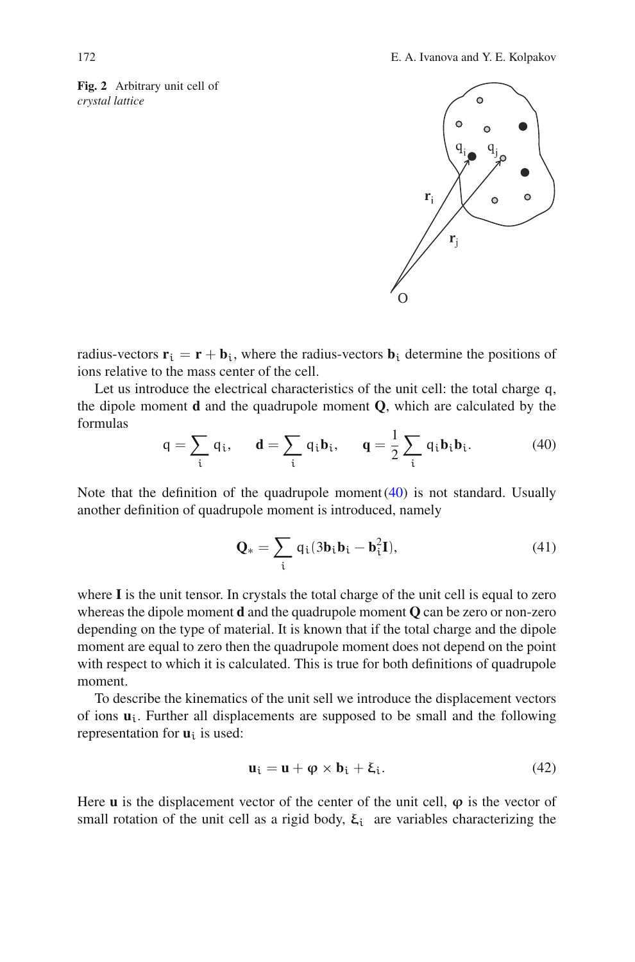<span id="page-9-0"></span>**Fig. 2** Arbitrary unit cell of *crystal lattice*



radius-vectors  $\mathbf{r}_i = \mathbf{r} + \mathbf{b}_i$ , where the radius-vectors  $\mathbf{b}_i$  determine the positions of ions relative to the mass center of the cell.

<span id="page-9-1"></span>Let us introduce the electrical characteristics of the unit cell: the total charge q, the dipole moment **d** and the quadrupole moment **Q**, which are calculated by the formulas

$$
\mathbf{q} = \sum_{i} \mathbf{q}_i, \quad \mathbf{d} = \sum_{i} \mathbf{q}_i \mathbf{b}_i, \quad \mathbf{q} = \frac{1}{2} \sum_{i} \mathbf{q}_i \mathbf{b}_i \mathbf{b}_i. \tag{40}
$$

Note that the definition of the quadrupole moment [\(40\)](#page-9-1) is not standard. Usually another definition of quadrupole moment is introduced, namely

$$
\mathbf{Q}_{*} = \sum_{i} q_{i} (3\mathbf{b}_{i}\mathbf{b}_{i} - \mathbf{b}_{i}^{2}\mathbf{I}), \qquad (41)
$$

where **I** is the unit tensor. In crystals the total charge of the unit cell is equal to zero whereas the dipole moment **d** and the quadrupole moment **Q** can be zero or non-zero depending on the type of material. It is known that if the total charge and the dipole moment are equal to zero then the quadrupole moment does not depend on the point with respect to which it is calculated. This is true for both definitions of quadrupole moment.

To describe the kinematics of the unit sell we introduce the displacement vectors of ions **u**i. Further all displacements are supposed to be small and the following representation for **u**<sup>i</sup> is used:

$$
\mathbf{u}_i = \mathbf{u} + \boldsymbol{\varphi} \times \mathbf{b}_i + \boldsymbol{\xi}_i. \tag{42}
$$

<span id="page-9-2"></span>Here **u** is the displacement vector of the center of the unit cell,  $\varphi$  is the vector of small rotation of the unit cell as a rigid body,  $\xi_i$  are variables characterizing the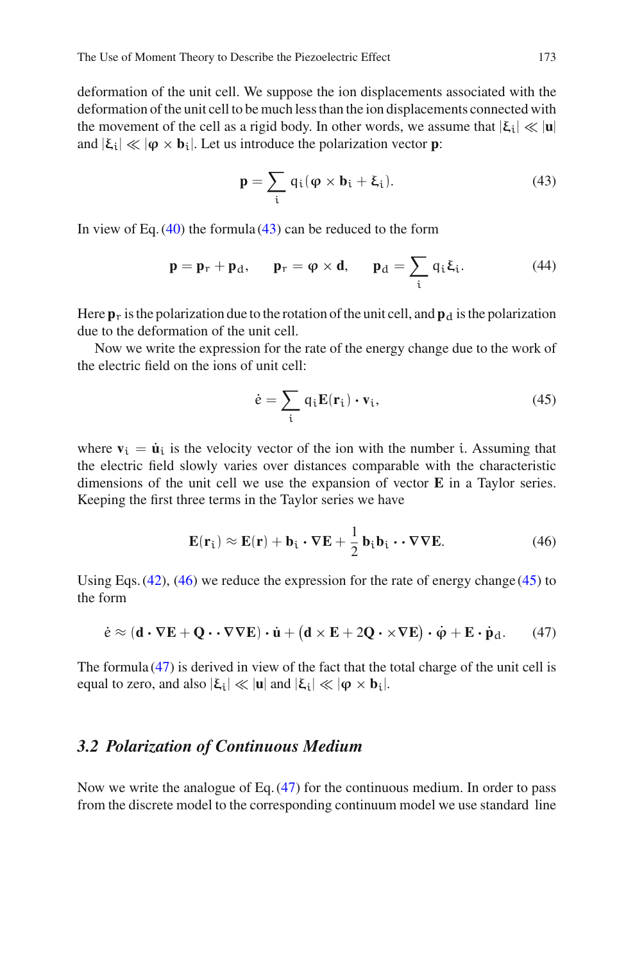deformation of the unit cell. We suppose the ion displacements associated with the deformation of the unit cell to be much less than the ion displacements connected with the movement of the cell as a rigid body. In other words, we assume that  $|\xi_i| \ll |u|$ and  $|\xi_i| \ll |\phi \times \mathbf{b}_i|$ . Let us introduce the polarization vector **p**:

$$
\mathbf{p} = \sum_{i} q_i (\boldsymbol{\varphi} \times \mathbf{b}_i + \boldsymbol{\xi}_i). \tag{43}
$$

<span id="page-10-0"></span>In view of Eq.  $(40)$  the formula  $(43)$  can be reduced to the form

$$
\mathbf{p} = \mathbf{p}_r + \mathbf{p}_d
$$
,  $\mathbf{p}_r = \boldsymbol{\varphi} \times \mathbf{d}$ ,  $\mathbf{p}_d = \sum_i q_i \xi_i$ . (44)

Here  $\mathbf{p}_r$  is the polarization due to the rotation of the unit cell, and  $\mathbf{p}_d$  is the polarization due to the deformation of the unit cell.

<span id="page-10-2"></span>Now we write the expression for the rate of the energy change due to the work of the electric field on the ions of unit cell:

$$
\dot{e} = \sum_{i} q_{i} E(\mathbf{r}_{i}) \cdot \mathbf{v}_{i}, \qquad (45)
$$

where  $\mathbf{v}_i = \dot{\mathbf{u}}_i$  is the velocity vector of the ion with the number i. Assuming that the electric field slowly varies over distances comparable with the characteristic dimensions of the unit cell we use the expansion of vector **E** in a Taylor series. Keeping the first three terms in the Taylor series we have

$$
\mathbf{E}(\mathbf{r}_{i}) \approx \mathbf{E}(\mathbf{r}) + \mathbf{b}_{i} \cdot \nabla \mathbf{E} + \frac{1}{2} \mathbf{b}_{i} \mathbf{b}_{i} \cdot \nabla \nabla \mathbf{E}.
$$
 (46)

<span id="page-10-3"></span><span id="page-10-1"></span>Using Eqs. [\(42\)](#page-9-2), [\(46\)](#page-10-1) we reduce the expression for the rate of energy change [\(45\)](#page-10-2) to the form

$$
\dot{e} \approx (\mathbf{d} \cdot \nabla \mathbf{E} + \mathbf{Q} \cdot \nabla \nabla \mathbf{E}) \cdot \dot{\mathbf{u}} + (\mathbf{d} \times \mathbf{E} + 2\mathbf{Q} \cdot \nabla \nabla \mathbf{E}) \cdot \dot{\boldsymbol{\varphi}} + \mathbf{E} \cdot \dot{\mathbf{p}}_{d}.
$$
 (47)

The formula  $(47)$  is derived in view of the fact that the total charge of the unit cell is equal to zero, and also  $|\xi_i| \ll |\mathbf{u}|$  and  $|\xi_i| \ll |\boldsymbol{\varphi} \times \mathbf{b}_i|$ .

#### *3.2 Polarization of Continuous Medium*

Now we write the analogue of Eq. [\(47\)](#page-10-3) for the continuous medium. In order to pass from the discrete model to the corresponding continuum model we use standard line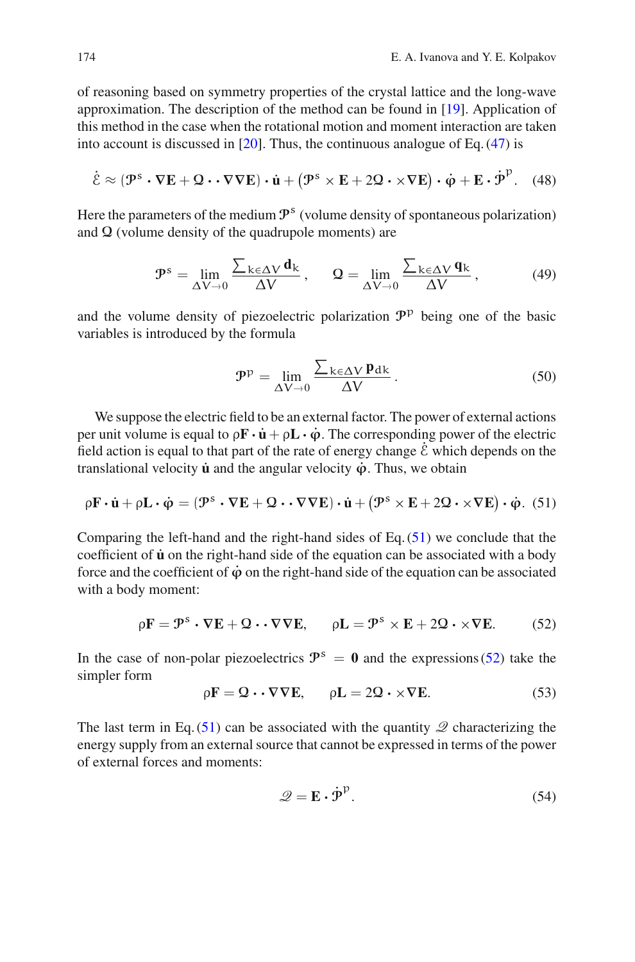of reasoning based on symmetry properties of the crystal lattice and the long-wave approximation. The description of the method can be found in [\[19\]](#page-15-9). Application of this method in the case when the rotational motion and moment interaction are taken into account is discussed in [\[20](#page-15-10)]. Thus, the continuous analogue of Eq. [\(47\)](#page-10-3) is

$$
\dot{\mathcal{E}} \approx (\mathcal{P}^s \cdot \nabla \mathbf{E} + \mathcal{Q} \cdot \cdot \nabla \nabla \mathbf{E}) \cdot \dot{\mathbf{u}} + (\mathcal{P}^s \times \mathbf{E} + 2\mathcal{Q} \cdot \times \nabla \mathbf{E}) \cdot \dot{\phi} + \mathbf{E} \cdot \dot{\mathcal{P}}^{\mathcal{P}}.
$$
 (48)

Here the parameters of the medium  $\mathcal{P}^s$  (volume density of spontaneous polarization) and **Q** (volume density of the quadrupole moments) are

$$
\mathcal{P}^{s} = \lim_{\Delta V \to 0} \frac{\sum_{k \in \Delta V} \mathbf{d}_{k}}{\Delta V}, \qquad \mathcal{Q} = \lim_{\Delta V \to 0} \frac{\sum_{k \in \Delta V} q_{k}}{\Delta V}, \tag{49}
$$

and the volume density of piezoelectric polarization  $\mathcal{P}^{\rho}$  being one of the basic variables is introduced by the formula

$$
\mathcal{P}^{\mathcal{P}} = \lim_{\Delta V \to 0} \frac{\sum_{k \in \Delta V} p_{dk}}{\Delta V}.
$$
 (50)

We suppose the electric field to be an external factor. The power of external actions per unit volume is equal to  $\rho \mathbf{F} \cdot \dot{\mathbf{u}} + \rho \mathbf{L} \cdot \dot{\phi}$ . The corresponding power of the electric field action is equal to that part of the rate of energy change  $\dot{\mathcal{E}}$  which depends on the translational velocity  $\dot{\mathbf{u}}$  and the angular velocity  $\dot{\varphi}$ . Thus, we obtain

<span id="page-11-0"></span>
$$
\rho \mathbf{F} \cdot \dot{\mathbf{u}} + \rho \mathbf{L} \cdot \dot{\phi} = (\mathcal{P}^s \cdot \nabla \mathbf{E} + \mathbf{\Omega} \cdot \mathbf{v} \nabla \mathbf{E}) \cdot \dot{\mathbf{u}} + (\mathcal{P}^s \times \mathbf{E} + 2\mathbf{\Omega} \cdot \times \nabla \mathbf{E}) \cdot \dot{\phi}.
$$
 (51)

Comparing the left-hand and the right-hand sides of Eq.  $(51)$  we conclude that the coefficient of **u** on the right-hand side of the equation can be associated with a body force and the coefficient of  $\dot{\varphi}$  on the right-hand side of the equation can be associated with a body moment:

$$
\rho \mathbf{F} = \mathcal{P}^s \cdot \nabla \mathbf{E} + \mathcal{Q} \cdot \mathcal{P} \nabla \mathbf{E}, \qquad \rho \mathbf{L} = \mathcal{P}^s \times \mathbf{E} + 2\mathcal{Q} \cdot \times \nabla \mathbf{E}. \tag{52}
$$

<span id="page-11-2"></span><span id="page-11-1"></span>In the case of non-polar piezoelectrics  $\mathcal{P}^s = \mathbf{0}$  and the expressions [\(52\)](#page-11-1) take the simpler form

<span id="page-11-3"></span>
$$
\rho \mathbf{F} = \mathbf{Q} \cdot \mathbf{v} \nabla \mathbf{E}, \qquad \rho \mathbf{L} = 2\mathbf{Q} \cdot \mathbf{x} \nabla \mathbf{E}.
$$
 (53)

The last term in Eq.  $(51)$  can be associated with the quantity  $\mathscr Q$  characterizing the energy supply from an external source that cannot be expressed in terms of the power of external forces and moments:

$$
\mathscr{Q} = \mathbf{E} \cdot \dot{\mathbf{P}}^{\mathrm{P}}.
$$
 (54)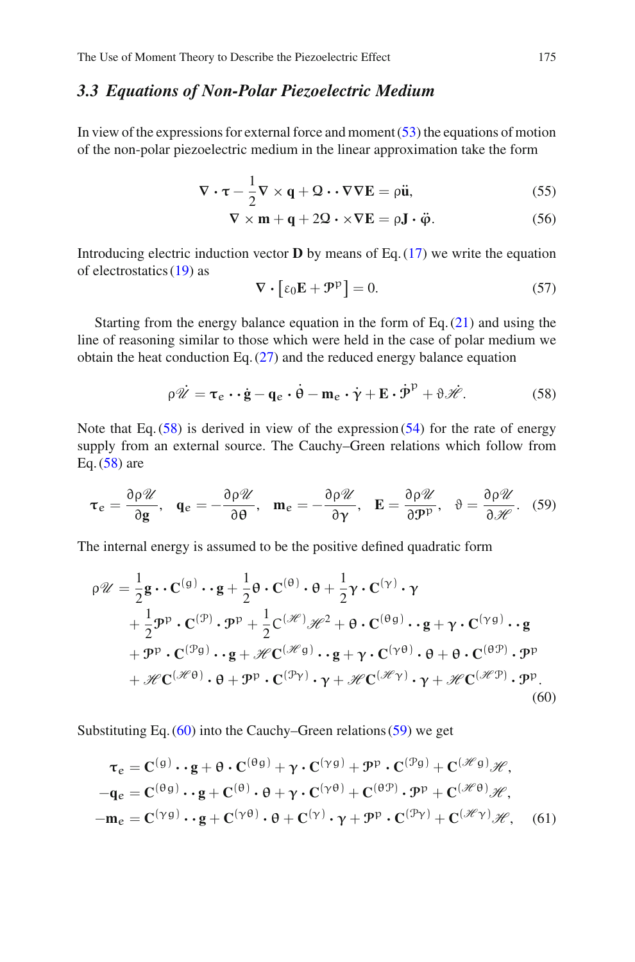## *3.3 Equations of Non-Polar Piezoelectric Medium*

In view of the expressions for external force and moment  $(53)$  the equations of motion of the non-polar piezoelectric medium in the linear approximation take the form

$$
\nabla \cdot \boldsymbol{\tau} - \frac{1}{2} \nabla \times \mathbf{q} + \Omega \cdot \nabla \nabla \mathbf{E} = \rho \ddot{\mathbf{u}},
$$
 (55)

<span id="page-12-3"></span>
$$
\nabla \times \mathbf{m} + \mathbf{q} + 2\mathbf{\Omega} \cdot \times \nabla \mathbf{E} = \rho \mathbf{J} \cdot \ddot{\boldsymbol{\varphi}}.
$$
 (56)

<span id="page-12-4"></span>Introducing electric induction vector **D** by means of Eq. [\(17\)](#page-5-0) we write the equation of electrostatics  $(19)$  as

<span id="page-12-6"></span>
$$
\nabla \cdot \left[ \varepsilon_0 \mathbf{E} + \mathcal{P}^{\mathbf{p}} \right] = 0. \tag{57}
$$

<span id="page-12-0"></span>Starting from the energy balance equation in the form of Eq.  $(21)$  and using the line of reasoning similar to those which were held in the case of polar medium we obtain the heat conduction Eq.  $(27)$  and the reduced energy balance equation

$$
\rho \dot{\mathcal{U}} = \tau_e \cdot \dot{\mathbf{g}} - \mathbf{q}_e \cdot \dot{\theta} - \mathbf{m}_e \cdot \dot{\gamma} + \mathbf{E} \cdot \dot{\mathcal{P}}^{\mathcal{P}} + \vartheta \dot{\mathcal{H}}.
$$
 (58)

Note that Eq.  $(58)$  is derived in view of the expression  $(54)$  for the rate of energy supply from an external source. The Cauchy–Green relations which follow from Eq.  $(58)$  are

<span id="page-12-2"></span>
$$
\tau_e = \frac{\partial \rho \mathscr{U}}{\partial g}, \quad q_e = -\frac{\partial \rho \mathscr{U}}{\partial \theta}, \quad m_e = -\frac{\partial \rho \mathscr{U}}{\partial \gamma}, \quad E = \frac{\partial \rho \mathscr{U}}{\partial \mathcal{P}^p}, \quad \vartheta = \frac{\partial \rho \mathscr{U}}{\partial \mathscr{H}}. \quad (59)
$$

The internal energy is assumed to be the positive defined quadratic form

$$
\rho \mathscr{U} = \frac{1}{2} \mathbf{g} \cdot \mathbf{C}^{(g)} \cdot \mathbf{g} + \frac{1}{2} \theta \cdot \mathbf{C}^{(\theta)} \cdot \theta + \frac{1}{2} \gamma \cdot \mathbf{C}^{(\gamma)} \cdot \gamma + \frac{1}{2} \mathcal{P}^{\mathbf{p}} \cdot \mathbf{C}^{(\mathbf{p})} \cdot \mathcal{P}^{\mathbf{p}} + \frac{1}{2} \mathbf{C}^{(\mathcal{H})} \mathcal{H}^{2} + \theta \cdot \mathbf{C}^{(\theta g)} \cdot \mathbf{g} + \gamma \cdot \mathbf{C}^{(\gamma g)} \cdot \mathbf{g} + \mathcal{P}^{\mathbf{p}} \cdot \mathbf{C}^{(\mathbf{p}_g)} \cdot \mathbf{g} + \mathcal{H} \mathbf{C}^{(\mathcal{H}g)} \cdot \mathbf{g} + \gamma \cdot \mathbf{C}^{(\gamma \theta)} \cdot \theta + \theta \cdot \mathbf{C}^{(\theta \mathbf{p})} \cdot \mathcal{P}^{\mathbf{p}} + \mathcal{H} \mathbf{C}^{(\mathcal{H} \theta)} \cdot \theta + \mathcal{P}^{\mathbf{p}} \cdot \mathbf{C}^{(\mathbf{p}_\gamma)} \cdot \gamma + \mathcal{H} \mathbf{C}^{(\mathcal{H} \gamma)} \cdot \gamma + \mathcal{H} \mathbf{C}^{(\mathcal{H} \mathbf{p})} \cdot \mathcal{P}^{\mathbf{p}}.
$$
\n(60)

Substituting Eq.  $(60)$  into the Cauchy–Green relations  $(59)$  we get

<span id="page-12-5"></span><span id="page-12-1"></span>
$$
\tau_e = C^{(g)} \cdot g + \theta \cdot C^{(\theta g)} + \gamma \cdot C^{(\gamma g)} + \mathcal{P}^p \cdot C^{(\mathcal{P}g)} + C^{(\mathcal{H}g)} \mathcal{H},
$$
  
\n
$$
-q_e = C^{(\theta g)} \cdot g + C^{(\theta)} \cdot \theta + \gamma \cdot C^{(\gamma \theta)} + C^{(\theta \mathcal{P})} \cdot \mathcal{P}^p + C^{(\mathcal{H} \theta)} \mathcal{H},
$$
  
\n
$$
-m_e = C^{(\gamma g)} \cdot g + C^{(\gamma \theta)} \cdot \theta + C^{(\gamma)} \cdot \gamma + \mathcal{P}^p \cdot C^{(\mathcal{P} \gamma)} + C^{(\mathcal{H} \gamma)} \mathcal{H},
$$
\n(61)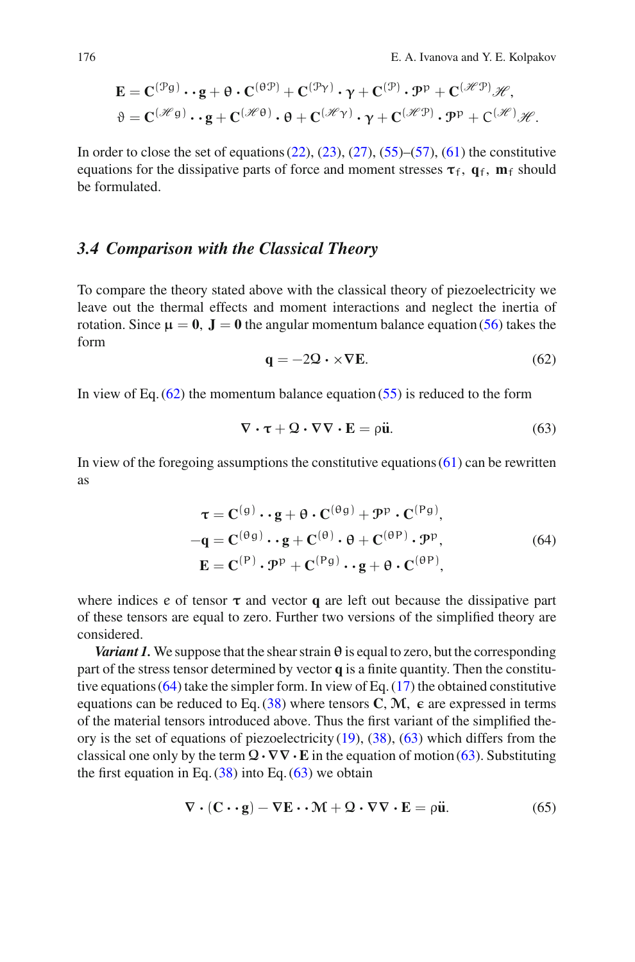$$
\mathbf{E} = \mathbf{C}^{(\mathcal{P}g)} \cdot \mathbf{g} + \mathbf{\theta} \cdot \mathbf{C}^{(\theta\mathcal{P})} + \mathbf{C}^{(\mathcal{P}\gamma)} \cdot \mathbf{\gamma} + \mathbf{C}^{(\mathcal{P})} \cdot \mathbf{\mathcal{P}}^{\mathbf{p}} + \mathbf{C}^{(\mathcal{H}\mathcal{P})} \mathcal{H},
$$
  

$$
\vartheta = \mathbf{C}^{(\mathcal{H}g)} \cdot \mathbf{g} + \mathbf{C}^{(\mathcal{H}\theta)} \cdot \mathbf{\theta} + \mathbf{C}^{(\mathcal{H}\gamma)} \cdot \mathbf{\gamma} + \mathbf{C}^{(\mathcal{H}\mathcal{P})} \cdot \mathbf{\mathcal{P}}^{\mathbf{p}} + \mathbf{C}^{(\mathcal{H})} \mathcal{H}.
$$

In order to close the set of equations  $(22)$ ,  $(23)$ ,  $(27)$ ,  $(55)$ – $(57)$ ,  $(61)$  the constitutive equations for the dissipative parts of force and moment stresses  $\tau_f$ ,  $\mathbf{q}_f$ ,  $\mathbf{m}_f$  should be formulated.

#### *3.4 Comparison with the Classical Theory*

<span id="page-13-0"></span>To compare the theory stated above with the classical theory of piezoelectricity we leave out the thermal effects and moment interactions and neglect the inertia of rotation. Since  $\mu = 0$ ,  $J = 0$  the angular momentum balance equation [\(56\)](#page-12-6) takes the form

$$
\mathbf{q} = -2\mathbf{Q} \cdot \times \nabla \mathbf{E}.\tag{62}
$$

<span id="page-13-2"></span>In view of Eq.  $(62)$  the momentum balance equation  $(55)$  is reduced to the form

<span id="page-13-1"></span>
$$
\nabla \cdot \tau + \Omega \cdot \nabla \nabla \cdot \mathbf{E} = \rho \ddot{\mathbf{u}}.
$$
 (63)

In view of the foregoing assumptions the constitutive equations  $(61)$  can be rewritten as

$$
\tau = \mathbf{C}^{(g)} \cdot \mathbf{g} + \theta \cdot \mathbf{C}^{(\theta g)} + \mathcal{P}^{\mathbf{p}} \cdot \mathbf{C}^{(\mathbf{p}_g)},
$$
  
\n
$$
-\mathbf{q} = \mathbf{C}^{(\theta g)} \cdot \mathbf{g} + \mathbf{C}^{(\theta)} \cdot \theta + \mathbf{C}^{(\theta \mathbf{p})} \cdot \mathcal{P}^{\mathbf{p}},
$$
  
\n
$$
\mathbf{E} = \mathbf{C}^{(\mathbf{p})} \cdot \mathcal{P}^{\mathbf{p}} + \mathbf{C}^{(\mathbf{p}_g)} \cdot \mathbf{g} + \theta \cdot \mathbf{C}^{(\theta \mathbf{p})},
$$
\n(64)

where indices e of tensor  $\tau$  and vector **q** are left out because the dissipative part of these tensors are equal to zero. Further two versions of the simplified theory are considered.

*Variant 1.* We suppose that the shear strain  $\theta$  is equal to zero, but the corresponding part of the stress tensor determined by vector **q** is a finite quantity. Then the constitutive equations [\(64\)](#page-13-1) take the simpler form. In view of Eq. [\(17\)](#page-5-0) the obtained constitutive equations can be reduced to Eq.  $(38)$  where tensors **C**, **M**, **e** are expressed in terms of the material tensors introduced above. Thus the first variant of the simplified theory is the set of equations of piezoelectricity  $(19)$ ,  $(38)$ ,  $(63)$  which differs from the classical one only by the term **Q·∇∇ ·E** in the equation of motion [\(63\)](#page-13-2). Substituting the first equation in Eq.  $(38)$  into Eq.  $(63)$  we obtain

$$
\nabla \cdot (\mathbf{C} \cdot \mathbf{g}) - \nabla \mathbf{E} \cdot \mathbf{M} + \mathbf{Q} \cdot \nabla \nabla \cdot \mathbf{E} = \rho \ddot{\mathbf{u}}.
$$
 (65)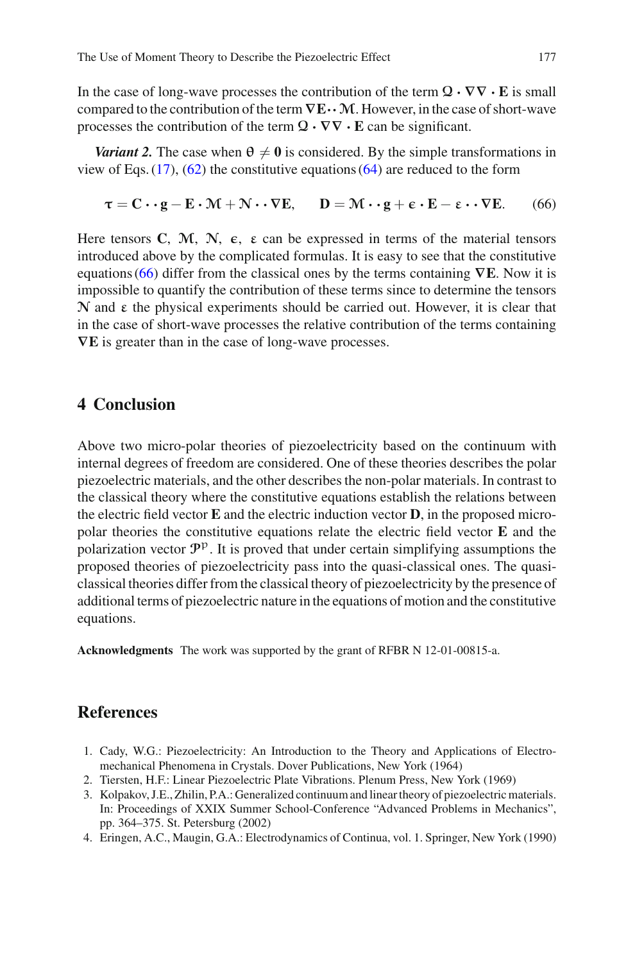In the case of long-wave processes the contribution of the term  $\mathbf{Q} \cdot \nabla \nabla \cdot \mathbf{E}$  is small compared to the contribution of the term **∇E··M**. However, in the case of short-wave processes the contribution of the term **Q · ∇∇ · E** can be significant.

<span id="page-14-4"></span>*Variant 2.* The case when  $\theta \neq 0$  is considered. By the simple transformations in view of Eqs.  $(17)$ ,  $(62)$  the constitutive equations  $(64)$  are reduced to the form

$$
\tau = \mathbf{C} \cdot \mathbf{g} - \mathbf{E} \cdot \mathbf{M} + \mathbf{N} \cdot \mathbf{V} \mathbf{E}, \qquad \mathbf{D} = \mathbf{M} \cdot \mathbf{g} + \mathbf{\epsilon} \cdot \mathbf{E} - \mathbf{\epsilon} \cdot \mathbf{V} \mathbf{E}. \tag{66}
$$

Here tensors  $C, M, N, \epsilon, \epsilon$  can be expressed in terms of the material tensors introduced above by the complicated formulas. It is easy to see that the constitutive equations [\(66\)](#page-14-4) differ from the classical ones by the terms containing **∇E**. Now it is impossible to quantify the contribution of these terms since to determine the tensors **N** and **ε** the physical experiments should be carried out. However, it is clear that in the case of short-wave processes the relative contribution of the terms containing **∇E** is greater than in the case of long-wave processes.

#### **4 Conclusion**

Above two micro-polar theories of piezoelectricity based on the continuum with internal degrees of freedom are considered. One of these theories describes the polar piezoelectric materials, and the other describes the non-polar materials. In contrast to the classical theory where the constitutive equations establish the relations between the electric field vector **E** and the electric induction vector **D**, in the proposed micropolar theories the constitutive equations relate the electric field vector **E** and the polarization vector  $\mathcal{P}^p$ . It is proved that under certain simplifying assumptions the proposed theories of piezoelectricity pass into the quasi-classical ones. The quasiclassical theories differ from the classical theory of piezoelectricity by the presence of additional terms of piezoelectric nature in the equations of motion and the constitutive equations.

**Acknowledgments** The work was supported by the grant of RFBR N 12-01-00815-a.

#### **References**

- <span id="page-14-0"></span>1. Cady, W.G.: Piezoelectricity: An Introduction to the Theory and Applications of Electromechanical Phenomena in Crystals. Dover Publications, New York (1964)
- <span id="page-14-1"></span>2. Tiersten, H.F.: Linear Piezoelectric Plate Vibrations. Plenum Press, New York (1969)
- <span id="page-14-2"></span>3. Kolpakov, J.E., Zhilin, P.A.: Generalized continuum and linear theory of piezoelectric materials. In: Proceedings of XXIX Summer School-Conference "Advanced Problems in Mechanics", pp. 364–375. St. Petersburg (2002)
- <span id="page-14-3"></span>4. Eringen, A.C., Maugin, G.A.: Electrodynamics of Continua, vol. 1. Springer, New York (1990)